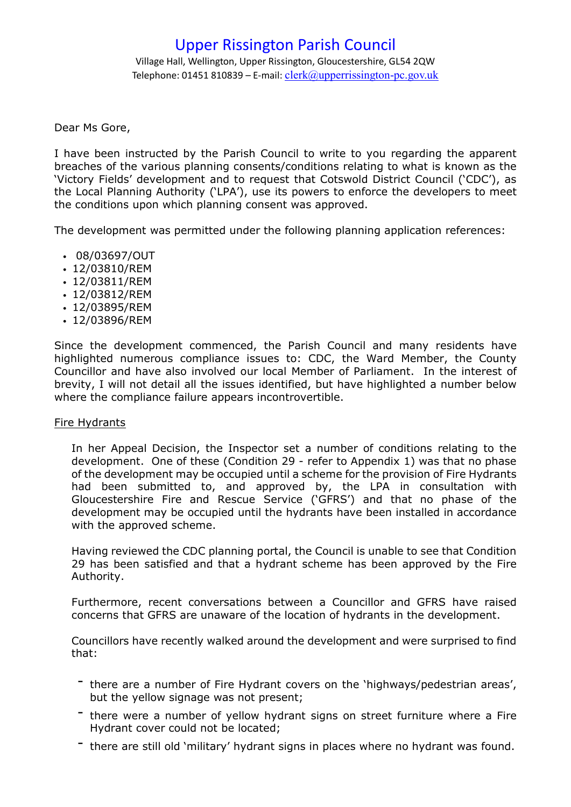Village Hall, Wellington, Upper Rissington, Gloucestershire, GL54 2QW Telephone: 01451 810839 – E-mail:  $clerk@u$ pperrissington-pc.gov.uk

Dear Ms Gore,

I have been instructed by the Parish Council to write to you regarding the apparent breaches of the various planning consents/conditions relating to what is known as the 'Victory Fields' development and to request that Cotswold District Council ('CDC'), as the Local Planning Authority ('LPA'), use its powers to enforce the developers to meet the conditions upon which planning consent was approved.

The development was permitted under the following planning application references:

- 08/03697/OUT
- 12/03810/REM
- 12/03811/REM
- 12/03812/REM
- 12/03895/REM
- 12/03896/REM

Since the development commenced, the Parish Council and many residents have highlighted numerous compliance issues to: CDC, the Ward Member, the County Councillor and have also involved our local Member of Parliament. In the interest of brevity, I will not detail all the issues identified, but have highlighted a number below where the compliance failure appears incontrovertible.

### Fire Hydrants

In her Appeal Decision, the Inspector set a number of conditions relating to the development. One of these (Condition 29 - refer to Appendix 1) was that no phase of the development may be occupied until a scheme for the provision of Fire Hydrants had been submitted to, and approved by, the LPA in consultation with Gloucestershire Fire and Rescue Service ('GFRS') and that no phase of the development may be occupied until the hydrants have been installed in accordance with the approved scheme.

Having reviewed the CDC planning portal, the Council is unable to see that Condition 29 has been satisfied and that a hydrant scheme has been approved by the Fire Authority.

Furthermore, recent conversations between a Councillor and GFRS have raised concerns that GFRS are unaware of the location of hydrants in the development.

Councillors have recently walked around the development and were surprised to find that:

- there are a number of Fire Hydrant covers on the 'highways/pedestrian areas', but the yellow signage was not present;
- there were <sup>a</sup> number of yellow hydrant signs on street furniture where <sup>a</sup> Fire Hydrant cover could not be located;
- there are still old 'military' hydrant signs in places where no hydrant was found.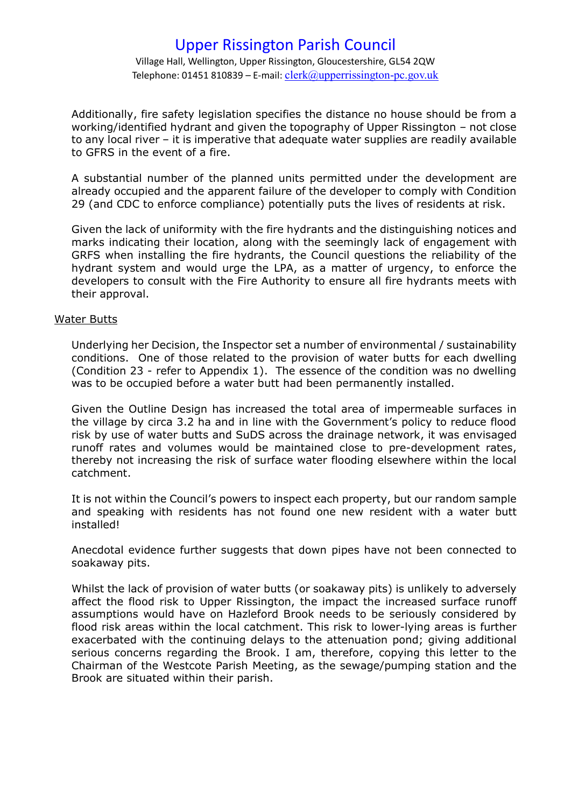Village Hall, Wellington, Upper Rissington, Gloucestershire, GL54 2QW Telephone: 01451 810839 – E-mail:  $clerk@u$ pperrissington-pc.gov.uk

Additionally, fire safety legislation specifies the distance no house should be from a working/identified hydrant and given the topography of Upper Rissington – not close to any local river – it is imperative that adequate water supplies are readily available to GFRS in the event of a fire.

A substantial number of the planned units permitted under the development are already occupied and the apparent failure of the developer to comply with Condition 29 (and CDC to enforce compliance) potentially puts the lives of residents at risk.

Given the lack of uniformity with the fire hydrants and the distinguishing notices and marks indicating their location, along with the seemingly lack of engagement with GRFS when installing the fire hydrants, the Council questions the reliability of the hydrant system and would urge the LPA, as a matter of urgency, to enforce the developers to consult with the Fire Authority to ensure all fire hydrants meets with their approval.

#### Water Butts

Underlying her Decision, the Inspector set a number of environmental / sustainability conditions. One of those related to the provision of water butts for each dwelling (Condition 23 - refer to Appendix 1). The essence of the condition was no dwelling was to be occupied before a water butt had been permanently installed.

Given the Outline Design has increased the total area of impermeable surfaces in the village by circa 3.2 ha and in line with the Government's policy to reduce flood risk by use of water butts and SuDS across the drainage network, it was envisaged runoff rates and volumes would be maintained close to pre-development rates, thereby not increasing the risk of surface water flooding elsewhere within the local catchment.

It is not within the Council's powers to inspect each property, but our random sample and speaking with residents has not found one new resident with a water butt installed!

Anecdotal evidence further suggests that down pipes have not been connected to soakaway pits.

Whilst the lack of provision of water butts (or soakaway pits) is unlikely to adversely affect the flood risk to Upper Rissington, the impact the increased surface runoff assumptions would have on Hazleford Brook needs to be seriously considered by flood risk areas within the local catchment. This risk to lower-lying areas is further exacerbated with the continuing delays to the attenuation pond; giving additional serious concerns regarding the Brook. I am, therefore, copying this letter to the Chairman of the Westcote Parish Meeting, as the sewage/pumping station and the Brook are situated within their parish.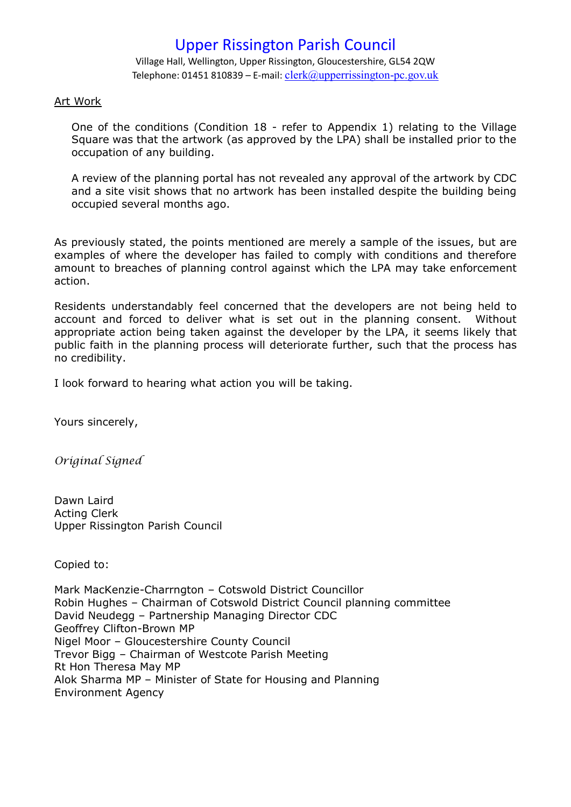Village Hall, Wellington, Upper Rissington, Gloucestershire, GL54 2QW Telephone: 01451 810839 – E-mail:  $clerk@u$ pperrissington-pc.gov.uk

#### Art Work

One of the conditions (Condition 18 - refer to Appendix 1) relating to the Village Square was that the artwork (as approved by the LPA) shall be installed prior to the occupation of any building.

A review of the planning portal has not revealed any approval of the artwork by CDC and a site visit shows that no artwork has been installed despite the building being occupied several months ago.

As previously stated, the points mentioned are merely a sample of the issues, but are examples of where the developer has failed to comply with conditions and therefore amount to breaches of planning control against which the LPA may take enforcement action.

Residents understandably feel concerned that the developers are not being held to account and forced to deliver what is set out in the planning consent. Without appropriate action being taken against the developer by the LPA, it seems likely that public faith in the planning process will deteriorate further, such that the process has no credibility.

I look forward to hearing what action you will be taking.

Yours sincerely,

*Original Signed*

Dawn Laird Acting Clerk Upper Rissington Parish Council

Copied to:

Mark MacKenzie-Charrngton – Cotswold District Councillor Robin Hughes – Chairman of Cotswold District Council planning committee David Neudegg – Partnership Managing Director CDC Geoffrey Clifton-Brown MP Nigel Moor – Gloucestershire County Council Trevor Bigg – Chairman of Westcote Parish Meeting Rt Hon Theresa May MP Alok Sharma MP – Minister of State for Housing and Planning Environment Agency